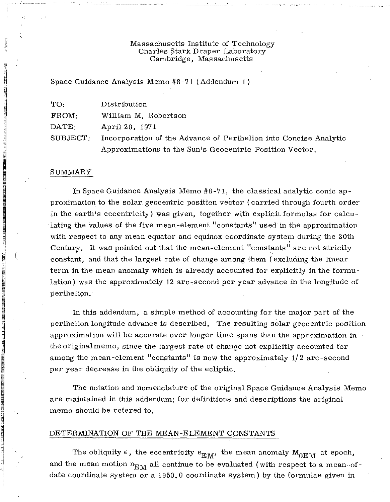## Massachusetts Institute of Technology Charles Btark Draper Laboratory Cambridge, Massachusetts

Space Guidance Analysis Memo #8-71 (Addendum 1)

| TO:             | Distribution                                                     |
|-----------------|------------------------------------------------------------------|
| FROM:           | William M. Robertson                                             |
| $\text{DATE}$ . | April 20, 1971                                                   |
| SUBJECT:        | Incorporation of the Advance of Perihelion into Concise Analytic |
|                 | Approximations to the Sun's Geocentric Position Vector.          |

#### SUMMARY

i  $\mathbf{u}$ 

~

~

·1'.:.'.·.· E , "j

e. i. I

=i

**IN SULTAINE IN THE PUBLIC DESCRIPTION OF A SUBSCRIPTION OF A SUBSCRIPTION OF A SUBSCRIPTION OF A SUBSCRIPTION O**<br>The contract of a subscription of a subscription of a subscription of a subscription of a subscription of a

 $\mathbb{I}$  ,  $\mathbb{I}$  ,  $\mathbb{I}$  ,  $\mathbb{I}$  ,  $\mathbb{I}$  ,  $\mathbb{I}$  ,  $\mathbb{I}$  ,  $\mathbb{I}$  ,  $\mathbb{I}$  ,  $\mathbb{I}$  ,  $\mathbb{I}$  ,  $\mathbb{I}$  ,  $\mathbb{I}$  ,  $\mathbb{I}$  ,  $\mathbb{I}$  ,  $\mathbb{I}$  ,  $\mathbb{I}$  ,  $\mathbb{I}$  ,  $\mathbb{I}$  ,  $\mathbb{I}$  ,

In Space Guidance Analysis Memo #8 -71, the classical analytic conic approximation to the solar. geocentric position vector (carried through fourth order in the earth's eccentricity) was given, together with explicit formulas for calculating the values of the five mean-element "constants" used in the approximation with respect to any mean equator and equinox coordinate system during the 20th Century. It was pointed out that the mean-element "constants" are not strictly constant, and that the largest rate of change among them (excluding the linear term in the mean anomaly which is already accounted for explicitly in the formulation) was the approximately 12 arc-second per year advance in the longitude of perihelion.

In this addendum, a simple method of accounting for the major part of the perihelion longitude advance is described. The resulting solar geocentric position approximation will be accurate over longer time spans than the approximation in the original memo, since the largest rate of change not explicitly accounted for among the mean-element "constants" is now the approximately 1/2 arc-second per year decrease in the obliquity of the ecliptic.

The notation and nomenclature of the original Space Guidance Analysis Memo are maintained in this addendum; for definitions and descriptions the original memo should be refered to.

#### DETERMINATION OF THE MEAN-ELEMENT CONSTANTS

The obliquity  $\epsilon$ , the eccentricity  $e_{\text{EM}}$ , the mean anomaly  $M_{\text{OEM}}$  at epoch, and the mean motion  $n_{EM}$  all continue to be evaluated (with respect to a mean-ofdate coordinate system or a 1950.0 coordinate system) by the formulae given in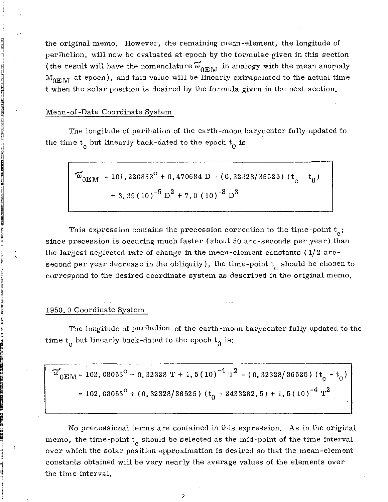the original memo. However, the remaining mean-element, the longitude of perihelion, will now be evaluated at epoch by the formulae given in this section (the result will have the nomenclature  $\widetilde{\omega}_{0EM}$  in analogy with the mean anomaly  $M_{\text{OEM}}$  at epoch), and this value will be linearly extrapolated to the actual time t when the solar position is desired by the formula given in the next section.

### Mean-of -Date Coordinate System

**que este de la partie de la partie de la partie de la partie de la partie de la partie de la partie de la pa**<br>De la partie de la partie de la partie de la partie de la partie de la partie de la partie de la partie de la

~ i.

'[ ~ i<br>international<br>international

**K , and , and , and , and , and , and , and , and , and , and , and , and , and , and , and , and , and , and** è.  $\mathbb{R}$  . :'j ::1

譺矘榬矏濣肼綞魳有貕怟鮇俰<mark>卪颐</mark>们鋢优笓<u>ν</u>½<br><br>

~ ~ **ifa i Mari Kar**osa<br>.

批差]政府编辑的或执政府<br>I

i ,

J ( ~

 $\blacksquare$ H

~

頣亅澿鑂笿萮龗प挅絻縔絉蓕剘眲螹欙雄忂硹籵ğãÇ<br>頣<br>፼

I

卫主任总裁托马拉纳保持机构的保持机构的经济化研究和工作。<br>-<br>-

~ ~

 $\frac{1}{2}$  , where  $\frac{1}{2}$  and  $\frac{1}{2}$  and  $\frac{1}{2}$ :1 , included<br>,<br>,  $\mathbf{1}$ i  $\mathbf{r}$ -! '1

The longitude of perihelion of the earth-moon barycenter fully updated to the time  $t_c$  but linearly back-dated to the epoch  $t_0$  is:

 $\widetilde{\omega}_{0 \to M}$  = 101.220833<sup>o</sup> + 0.470684 D - (0.32328/36525) (t<sub>c</sub> - t<sub>0</sub>) + 3.39(10)<sup>-5</sup>  $D^{2}$  + 7.0(10)<sup>-8</sup>  $D^{3}$ 

This expression contains the precession correction to the time-point  $t_c$ ; since precession is occuring much faster (about 50 arc-seconds per year) than the largest neglected rate of change in the mean-element constants ( 1/2 arcsecond per year decrease in the obliquity ), the time-point  $\mathrm{t}_{\mathrm{c}}^{\phantom{\dag}}$  should be chosen to correspond to the desired coordinate system as described in the original memo.

### 1950.0 Coordinate System

The longitude of perihelion of the earth-moon barycenter fully updated to the time  $t_c$  but linearly back-dated to the epoch  $t_0$  is:

$$
\widetilde{\omega}_{0\text{EM}} = 102.08053^{\circ} + 0.32328 \text{ T} + 1.5(10)^{-4} \text{ T}^2 - (0.32328/36525) (t_c - t_0)
$$
  
= 102.08053<sup>°</sup> + (0.32328/36525) (t<sub>0</sub> - 2433282.5) + 1.5(10)<sup>-4</sup> T<sup>2</sup>

No precessional terms are contained in this expression. As in the original memo, the time-point  $\mathrm{t_{c}}$  should be selected as the mid-point of the time interval over which the solar position approximation is desired so that the mean-element constants obtained will be very nearly the average values of the elements over the time interval.

2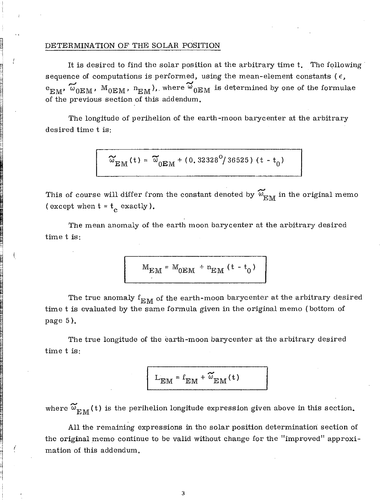# DETERMINA TION OF THE SOLAR POSITION

~

rj lainsunasian.<br>. es<br>B  $\mathbf{I}$ i

~

~ :1 ~; e il.

~ **ISLE AND REAL PROPERTY.** 

i Santi Bintang Tanggung Bangsatan Pasikan<br>Ing Pangalang Pangalang Pangalang Pangalang Pangalang Pangalang Pangalang Pangalang Pangalang Pangalang Pangal

 $\frac{1}{2}$  . We have not to be a set of the set of the set of the set of the set of the set of the set of the set of the set of the set of the set of the set of the set of the set of the set of the set of the set of the se ..  $\frac{1}{2}$  ,

 $\mathbb{R}$  ( -j

 $\frac{1}{2}$  ,  $\frac{1}{2}$  ,  $\frac{1}{2}$  ,  $\frac{1}{2}$  ,  $\frac{1}{2}$ 

~

Fl ~ **II AN DE L'ARCHET ANN AN D'ARCHET ANN AN D'ARCHET ANN AN D'ARCHET ANN AN D'ARCHET ANN AN D'ARCHET ANN AN D'ARC**<br>D'Archet Alban (d'Archet Alban (d'Archet Alba) ann an d'Archet ann an Dùbhaidh an Dùbhaidh ann an Dùbhaidh an

en 1999.<br>∫

 $\frac{1}{2}$  . The set of  $\frac{1}{2}$ a<br>a<br>a<br>a<br>a<br>a<br>a<br>a<br>a<br> 1 ( 1 i 10j

It is desired to find the solar position at the arbitrary time t. The following' sequence of computations is performed, using the mean-element constants ( $\epsilon$ ,  $e_{EM}$ ,  $\omega_{0EM}$ ,  $M_{0EM}$ ,  $n_{EM}$ ), where  $\omega_{0EM}$  is determined by one of the formulae of the previous section of this addendum.

The longitude of perihelion of the earth-moon barycenter at the arbitrary desired time tis:

$$
\widetilde{\omega}_{\rm EM}^{}(t) = \widetilde{\omega}_{0 \rm EM}^{} + (0.32328^0/36525) \; (t - t_0)
$$

This of course will differ from the constant denoted by  $\widetilde{\omega}_{{}_{\rm I\!R}\mathfrak{M}n}$  in the original memo (except when  $t = t_c$  exactly).

The mean anomaly of the earth moon barycenter at the arbitrary desired time tis:

$$
M_{EM} = M_{0EM} + n_{EM} (t - t_0)
$$

The true anomaly  $f_{EM}$  of the earth-moon barycenter at the arbitrary desired time t is evaluated by the same formula given in the original memo (bottom of page 5).

The true longitude of the earth-moon barycenter at the arbitrary desired time tis:

$$
L_{EM} = f_{EM} + \widetilde{\omega}_{EM}(t)
$$

where  $\widetilde{\omega}_{\text{EM}}(t)$  is the perihelion longitude expression given above in this section.

All the remaining expressions in the solar position determination section of the original memo continue to be valid without change for the "improved" approximation of this addendum.

3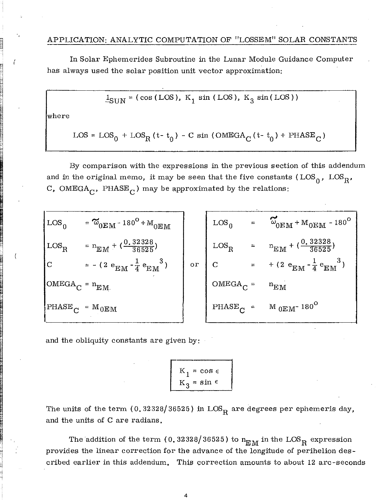In Solar Ephemerides Subroutine in the Lunar Module Guidance Computer has always used the solar position unit vector approximation:

$$
\mathbf{1}_{\text{SHN}} = (\cos(\text{LOS}), \text{ K}_1 \sin(\text{LOS}), \text{ K}_3 \sin(\text{LOS}))
$$

where

$$
\texttt{LOS} = \texttt{LOS}_0 \, + \texttt{LOS}_\text{R} \, (\texttt{t- t}_0) \, - \texttt{C} \, \sin \, (\texttt{OMEGA}_\texttt{C} \, (\texttt{t- t}_0) \, + \texttt{PHASE}_\texttt{C})
$$

By comparison with the expressions in the previous section of this addendum and in the original memo, it may be seen that the five constants  $(LOS_0, \text{LOS}_{\text{R}})$ C, OMEGA<sub>C</sub>, PHASE<sub>C</sub>) may be approximated by the relations:

| $\mathsf{LOS}_0$       | $= \widetilde{\omega}_{0 \to M} - 180^{\rm O} + {\rm M}_{0 \to M}$ |    |                    | $\text{LOS}_0 = \omega_{0 \text{EM}} + \text{M}_{0 \text{EM}} - 180^\circ$ |
|------------------------|--------------------------------------------------------------------|----|--------------------|----------------------------------------------------------------------------|
| $\vert$ LOS $_{\rm R}$ | $= n_{\text{EM}} + (\frac{0.32328}{36525})$                        |    |                    | $\text{LOS}_{\text{R}}$ = $n_{\text{EM}} + (\frac{0.32328}{36525})$        |
| c                      | $= - (2 e_{EM} - \frac{1}{4} e_{EM}^3)$                            | or |                    | C = +(2 e <sub>EM</sub> - $\frac{1}{4}$ e <sub>EM</sub> <sup>3</sup> )     |
| $OMEGA_C = n_{EM}$     |                                                                    |    | $OMEGA_C = n_{EM}$ |                                                                            |
| $PHASE_C = M_{0EM}$    |                                                                    |    |                    | PHASE <sub>C</sub> = $M_{0EM}$ -180 <sup>o</sup>                           |

and the obliquity constants are given by:

$$
K_1 = \cos \epsilon
$$
  

$$
K_3 = \sin \epsilon
$$

The units of the term (0.32328/36525) in LOS<sub>R</sub> are degrees per ephemeris day, and the units of C are radians.

The addition of the term (0.32328/36525) to  $n_{\rm EM}$  in the  ${\rm LOS}_{\rm R}$  expression provides the linear correction for the advance of the longitude of perihelion described earlier in this addendum. This correction amounts to about 12 arc -seconds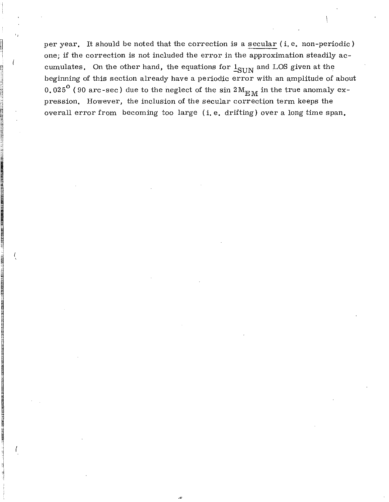per year. It should be noted that the correction is a secular (i. e. non-periodic) one; if the correction is not included the error in the approximation steadily accumulates. On the other hand, the equations for  $1_{\text{SUM}}$  and LOS given at the beginning of this section already have a periodic error with an amplitude of about 0.025<sup>o</sup> (90 arc-sec) due to the neglect of the sin  $2 M_{\rm EM}$  in the true anomaly expression. However, the inclusion of the secular correction term keeps the overall error from becoming too large (i. e. drifting) over a long time span.

il

n<br>Northeasta j 1=1  $\mathbf{H}$ 

 $\frac{1}{2}$ n

 $\frac{11}{3}$ 'I ej a.

~ III II LUUDENESSÄ<br>III LUUDENESSÄ

INE LINE LABBAN DENGAN DI DI

 $1, 1, 1, 2, 3$  , the result of  $\mathbb{R}^n$ 

:"l ~

'1 II.<br>[2] [2] [2] [2] [2] [2] ~ ~  $\mathbb{H}$ ""<br>51<br>51

 $\mathcal{R}$  , it is the space of the second contract of the second contract of the second contract of the second contract of the second contract of the second contract of the second contract of the second contract of the sec

I ,

I